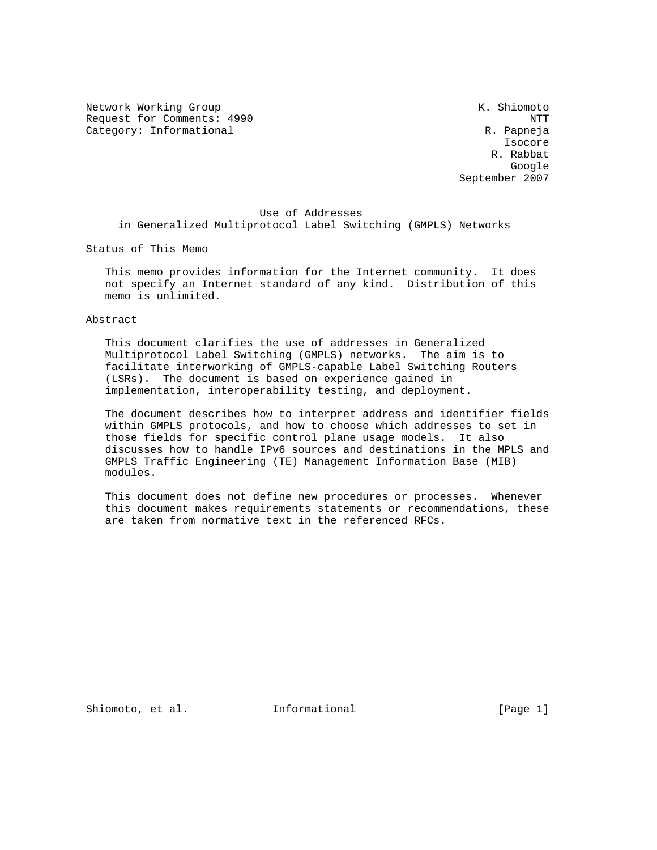Network Working Group Network Working Group Network Channels and Muslim Network Channels At America Channels A Request for Comments: 4990 NTT Category: Informational R. Papneja

 Isocore R. Rabbat google is a straightforward of the control of the control of the control of the control of the control of the c September 2007

# Use of Addresses in Generalized Multiprotocol Label Switching (GMPLS) Networks

Status of This Memo

 This memo provides information for the Internet community. It does not specify an Internet standard of any kind. Distribution of this memo is unlimited.

Abstract

 This document clarifies the use of addresses in Generalized Multiprotocol Label Switching (GMPLS) networks. The aim is to facilitate interworking of GMPLS-capable Label Switching Routers (LSRs). The document is based on experience gained in implementation, interoperability testing, and deployment.

 The document describes how to interpret address and identifier fields within GMPLS protocols, and how to choose which addresses to set in those fields for specific control plane usage models. It also discusses how to handle IPv6 sources and destinations in the MPLS and GMPLS Traffic Engineering (TE) Management Information Base (MIB) modules.

 This document does not define new procedures or processes. Whenever this document makes requirements statements or recommendations, these are taken from normative text in the referenced RFCs.

Shiomoto, et al. **Informational** [Page 1]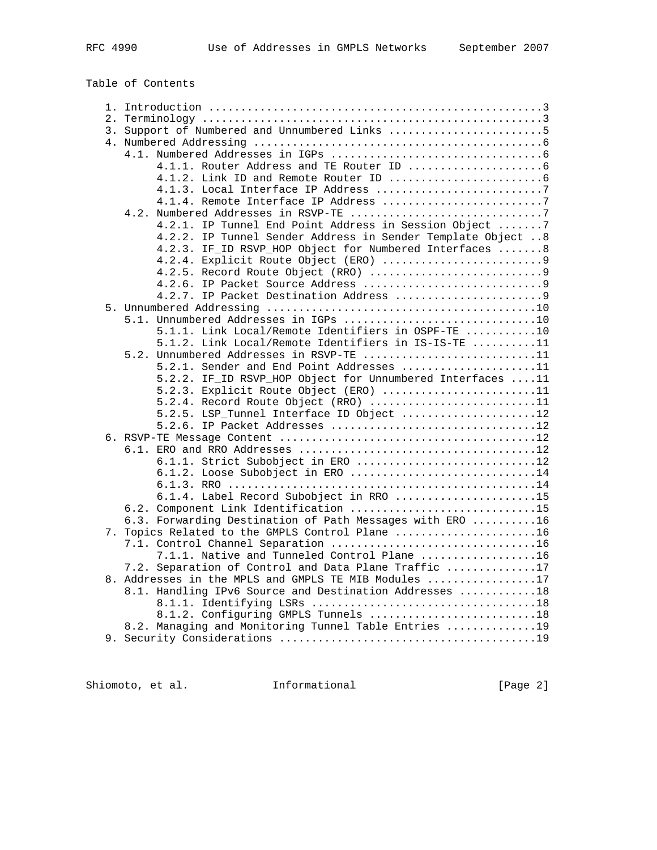Table of Contents

| 3. Support of Numbered and Unnumbered Links 5                |  |
|--------------------------------------------------------------|--|
|                                                              |  |
|                                                              |  |
|                                                              |  |
|                                                              |  |
|                                                              |  |
|                                                              |  |
|                                                              |  |
| 4.2.1. IP Tunnel End Point Address in Session Object 7       |  |
| 4.2.2. IP Tunnel Sender Address in Sender Template Object  8 |  |
| 4.2.3. IF_ID RSVP_HOP Object for Numbered Interfaces 8       |  |
| 4.2.4. Explicit Route Object (ERO) 9                         |  |
| 4.2.5. Record Route Object (RRO) 9                           |  |
|                                                              |  |
| 4.2.7. IP Packet Destination Address 9                       |  |
|                                                              |  |
| 5.1. Unnumbered Addresses in IGPs 10                         |  |
| 5.1.1. Link Local/Remote Identifiers in OSPF-TE 10           |  |
| 5.1.2. Link Local/Remote Identifiers in IS-IS-TE 11          |  |
| 5.2. Unnumbered Addresses in RSVP-TE 11                      |  |
| 5.2.1. Sender and End Point Addresses 11                     |  |
| 5.2.2. IF_ID RSVP_HOP Object for Unnumbered Interfaces 11    |  |
| 5.2.3. Explicit Route Object (ERO) 11                        |  |
| 5.2.4. Record Route Object (RRO) 11                          |  |
| 5.2.5. LSP_Tunnel Interface ID Object 12                     |  |
|                                                              |  |
|                                                              |  |
|                                                              |  |
| 6.1.1. Strict Subobject in ERO 12                            |  |
| 6.1.2. Loose Subobject in ERO 14                             |  |
|                                                              |  |
| 6.1.4. Label Record Subobject in RRO 15                      |  |
| 6.2. Component Link Identification 15                        |  |
| 6.3. Forwarding Destination of Path Messages with ERO 16     |  |
| 7. Topics Related to the GMPLS Control Plane 16              |  |
|                                                              |  |
| 7.1.1. Native and Tunneled Control Plane 16                  |  |
| 7.2. Separation of Control and Data Plane Traffic 17         |  |
| 8. Addresses in the MPLS and GMPLS TE MIB Modules 17         |  |
| 8.1. Handling IPv6 Source and Destination Addresses 18       |  |
|                                                              |  |
| 8.1.2. Configuring GMPLS Tunnels 18                          |  |
| 8.2. Managing and Monitoring Tunnel Table Entries 19         |  |
|                                                              |  |

Shiomoto, et al. Informational [Page 2]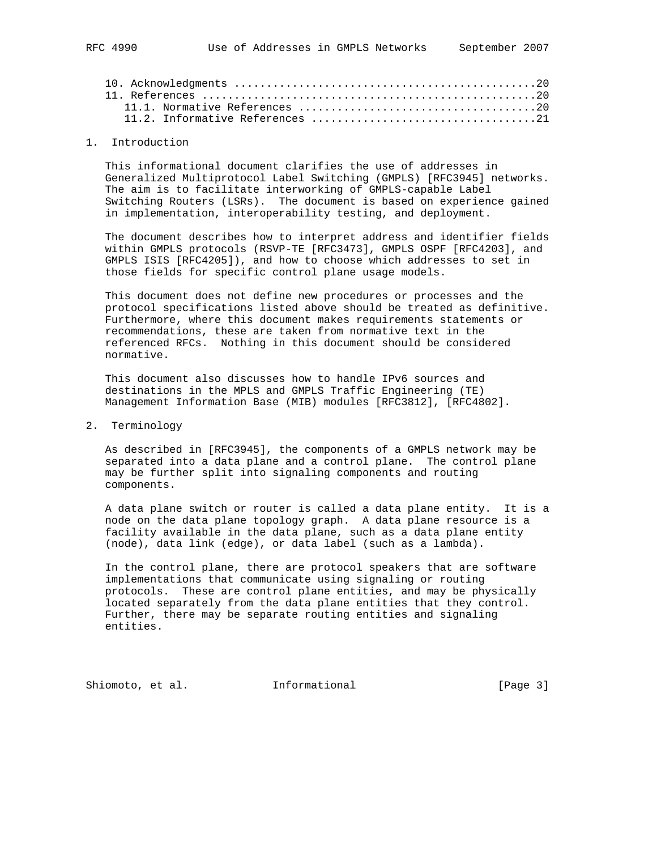### 1. Introduction

 This informational document clarifies the use of addresses in Generalized Multiprotocol Label Switching (GMPLS) [RFC3945] networks. The aim is to facilitate interworking of GMPLS-capable Label Switching Routers (LSRs). The document is based on experience gained in implementation, interoperability testing, and deployment.

 The document describes how to interpret address and identifier fields within GMPLS protocols (RSVP-TE [RFC3473], GMPLS OSPF [RFC4203], and GMPLS ISIS [RFC4205]), and how to choose which addresses to set in those fields for specific control plane usage models.

 This document does not define new procedures or processes and the protocol specifications listed above should be treated as definitive. Furthermore, where this document makes requirements statements or recommendations, these are taken from normative text in the referenced RFCs. Nothing in this document should be considered normative.

 This document also discusses how to handle IPv6 sources and destinations in the MPLS and GMPLS Traffic Engineering (TE) Management Information Base (MIB) modules [RFC3812], [RFC4802].

### 2. Terminology

 As described in [RFC3945], the components of a GMPLS network may be separated into a data plane and a control plane. The control plane may be further split into signaling components and routing components.

 A data plane switch or router is called a data plane entity. It is a node on the data plane topology graph. A data plane resource is a facility available in the data plane, such as a data plane entity (node), data link (edge), or data label (such as a lambda).

 In the control plane, there are protocol speakers that are software implementations that communicate using signaling or routing protocols. These are control plane entities, and may be physically located separately from the data plane entities that they control. Further, there may be separate routing entities and signaling entities.

Shiomoto, et al. **Informational** [Page 3]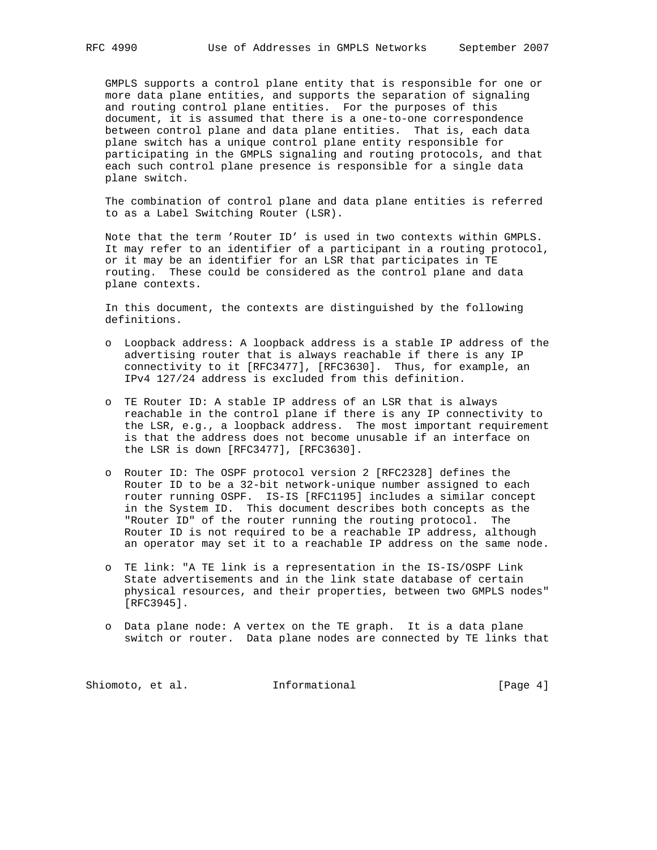GMPLS supports a control plane entity that is responsible for one or more data plane entities, and supports the separation of signaling and routing control plane entities. For the purposes of this document, it is assumed that there is a one-to-one correspondence between control plane and data plane entities. That is, each data plane switch has a unique control plane entity responsible for participating in the GMPLS signaling and routing protocols, and that each such control plane presence is responsible for a single data plane switch.

 The combination of control plane and data plane entities is referred to as a Label Switching Router (LSR).

 Note that the term 'Router ID' is used in two contexts within GMPLS. It may refer to an identifier of a participant in a routing protocol, or it may be an identifier for an LSR that participates in TE routing. These could be considered as the control plane and data plane contexts.

 In this document, the contexts are distinguished by the following definitions.

- o Loopback address: A loopback address is a stable IP address of the advertising router that is always reachable if there is any IP connectivity to it [RFC3477], [RFC3630]. Thus, for example, an IPv4 127/24 address is excluded from this definition.
- o TE Router ID: A stable IP address of an LSR that is always reachable in the control plane if there is any IP connectivity to the LSR, e.g., a loopback address. The most important requirement is that the address does not become unusable if an interface on the LSR is down [RFC3477], [RFC3630].
- o Router ID: The OSPF protocol version 2 [RFC2328] defines the Router ID to be a 32-bit network-unique number assigned to each router running OSPF. IS-IS [RFC1195] includes a similar concept in the System ID. This document describes both concepts as the "Router ID" of the router running the routing protocol. The Router ID is not required to be a reachable IP address, although an operator may set it to a reachable IP address on the same node.
- o TE link: "A TE link is a representation in the IS-IS/OSPF Link State advertisements and in the link state database of certain physical resources, and their properties, between two GMPLS nodes" [RFC3945].
- o Data plane node: A vertex on the TE graph. It is a data plane switch or router. Data plane nodes are connected by TE links that

Shiomoto, et al. 1nformational 1999 [Page 4]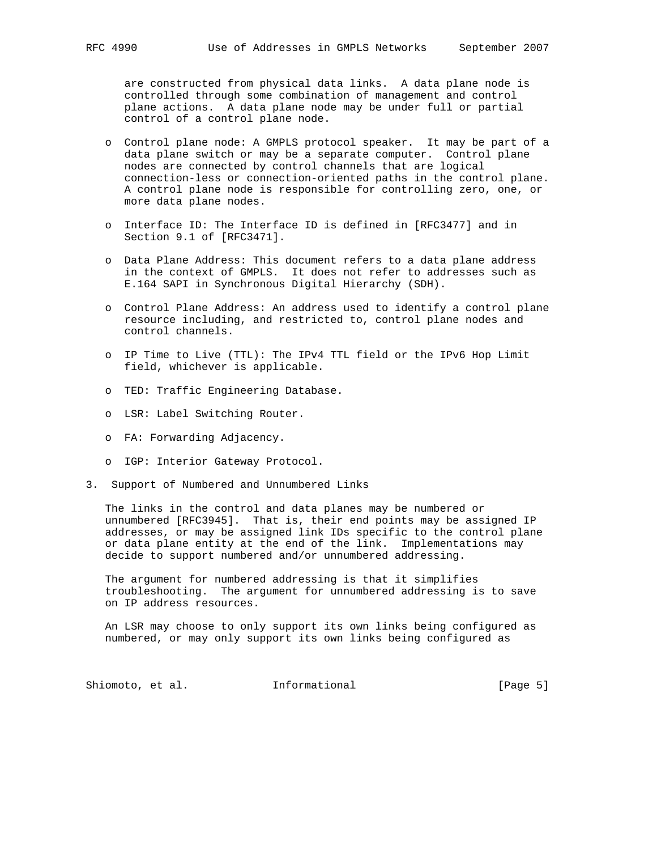are constructed from physical data links. A data plane node is controlled through some combination of management and control plane actions. A data plane node may be under full or partial control of a control plane node.

- o Control plane node: A GMPLS protocol speaker. It may be part of a data plane switch or may be a separate computer. Control plane nodes are connected by control channels that are logical connection-less or connection-oriented paths in the control plane. A control plane node is responsible for controlling zero, one, or more data plane nodes.
- o Interface ID: The Interface ID is defined in [RFC3477] and in Section 9.1 of [RFC3471].
- o Data Plane Address: This document refers to a data plane address in the context of GMPLS. It does not refer to addresses such as E.164 SAPI in Synchronous Digital Hierarchy (SDH).
- o Control Plane Address: An address used to identify a control plane resource including, and restricted to, control plane nodes and control channels.
- o IP Time to Live (TTL): The IPv4 TTL field or the IPv6 Hop Limit field, whichever is applicable.
- o TED: Traffic Engineering Database.
- o LSR: Label Switching Router.
- o FA: Forwarding Adjacency.
- o IGP: Interior Gateway Protocol.
- 3. Support of Numbered and Unnumbered Links

 The links in the control and data planes may be numbered or unnumbered [RFC3945]. That is, their end points may be assigned IP addresses, or may be assigned link IDs specific to the control plane or data plane entity at the end of the link. Implementations may decide to support numbered and/or unnumbered addressing.

 The argument for numbered addressing is that it simplifies troubleshooting. The argument for unnumbered addressing is to save on IP address resources.

 An LSR may choose to only support its own links being configured as numbered, or may only support its own links being configured as

Shiomoto, et al. 1nformational [Page 5]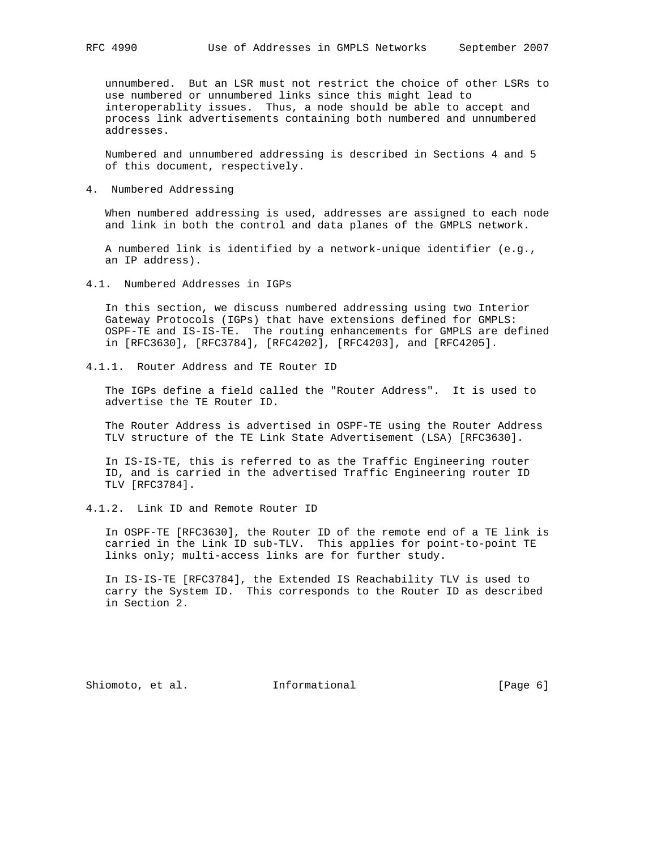unnumbered. But an LSR must not restrict the choice of other LSRs to use numbered or unnumbered links since this might lead to interoperablity issues. Thus, a node should be able to accept and process link advertisements containing both numbered and unnumbered addresses.

 Numbered and unnumbered addressing is described in Sections 4 and 5 of this document, respectively.

4. Numbered Addressing

 When numbered addressing is used, addresses are assigned to each node and link in both the control and data planes of the GMPLS network.

 A numbered link is identified by a network-unique identifier (e.g., an IP address).

4.1. Numbered Addresses in IGPs

 In this section, we discuss numbered addressing using two Interior Gateway Protocols (IGPs) that have extensions defined for GMPLS: OSPF-TE and IS-IS-TE. The routing enhancements for GMPLS are defined in [RFC3630], [RFC3784], [RFC4202], [RFC4203], and [RFC4205].

4.1.1. Router Address and TE Router ID

 The IGPs define a field called the "Router Address". It is used to advertise the TE Router ID.

 The Router Address is advertised in OSPF-TE using the Router Address TLV structure of the TE Link State Advertisement (LSA) [RFC3630].

 In IS-IS-TE, this is referred to as the Traffic Engineering router ID, and is carried in the advertised Traffic Engineering router ID TLV [RFC3784].

4.1.2. Link ID and Remote Router ID

 In OSPF-TE [RFC3630], the Router ID of the remote end of a TE link is carried in the Link ID sub-TLV. This applies for point-to-point TE links only; multi-access links are for further study.

 In IS-IS-TE [RFC3784], the Extended IS Reachability TLV is used to carry the System ID. This corresponds to the Router ID as described in Section 2.

Shiomoto, et al. 1nformational 1999 [Page 6]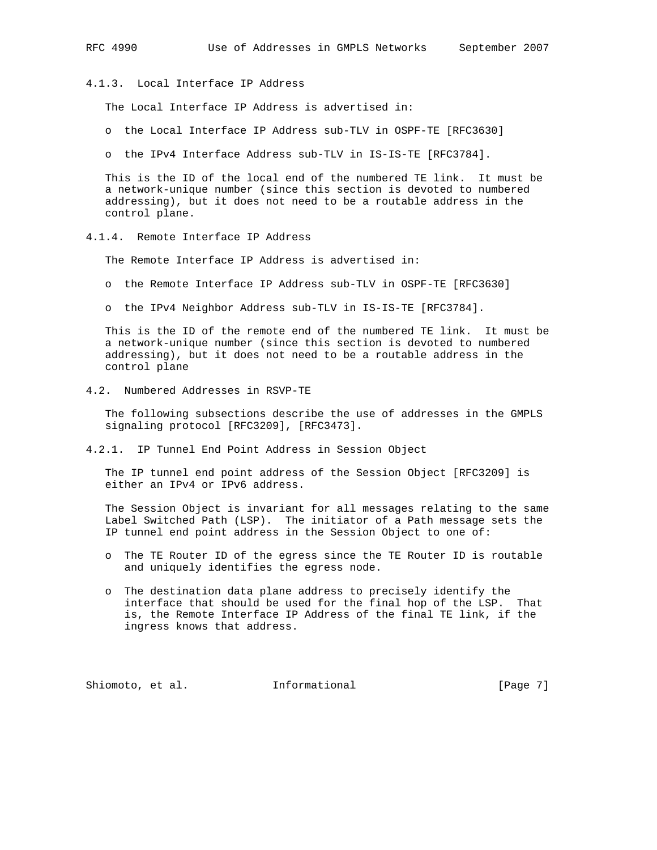4.1.3. Local Interface IP Address

The Local Interface IP Address is advertised in:

o the Local Interface IP Address sub-TLV in OSPF-TE [RFC3630]

o the IPv4 Interface Address sub-TLV in IS-IS-TE [RFC3784].

 This is the ID of the local end of the numbered TE link. It must be a network-unique number (since this section is devoted to numbered addressing), but it does not need to be a routable address in the control plane.

4.1.4. Remote Interface IP Address

The Remote Interface IP Address is advertised in:

- o the Remote Interface IP Address sub-TLV in OSPF-TE [RFC3630]
- o the IPv4 Neighbor Address sub-TLV in IS-IS-TE [RFC3784].

 This is the ID of the remote end of the numbered TE link. It must be a network-unique number (since this section is devoted to numbered addressing), but it does not need to be a routable address in the control plane

4.2. Numbered Addresses in RSVP-TE

 The following subsections describe the use of addresses in the GMPLS signaling protocol [RFC3209], [RFC3473].

4.2.1. IP Tunnel End Point Address in Session Object

 The IP tunnel end point address of the Session Object [RFC3209] is either an IPv4 or IPv6 address.

 The Session Object is invariant for all messages relating to the same Label Switched Path (LSP). The initiator of a Path message sets the IP tunnel end point address in the Session Object to one of:

- o The TE Router ID of the egress since the TE Router ID is routable and uniquely identifies the egress node.
- o The destination data plane address to precisely identify the interface that should be used for the final hop of the LSP. That is, the Remote Interface IP Address of the final TE link, if the ingress knows that address.

Shiomoto, et al. **Informational** [Page 7]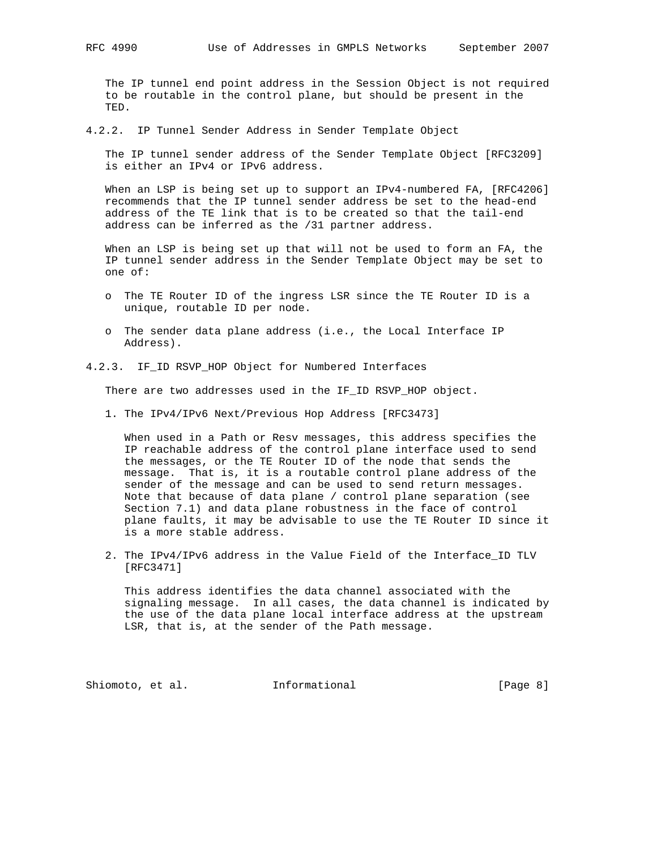The IP tunnel end point address in the Session Object is not required to be routable in the control plane, but should be present in the TED.

4.2.2. IP Tunnel Sender Address in Sender Template Object

 The IP tunnel sender address of the Sender Template Object [RFC3209] is either an IPv4 or IPv6 address.

When an LSP is being set up to support an IPv4-numbered FA, [RFC4206] recommends that the IP tunnel sender address be set to the head-end address of the TE link that is to be created so that the tail-end address can be inferred as the /31 partner address.

 When an LSP is being set up that will not be used to form an FA, the IP tunnel sender address in the Sender Template Object may be set to one of:

- o The TE Router ID of the ingress LSR since the TE Router ID is a unique, routable ID per node.
- o The sender data plane address (i.e., the Local Interface IP Address).

### 4.2.3. IF\_ID RSVP\_HOP Object for Numbered Interfaces

There are two addresses used in the IF\_ID RSVP\_HOP object.

1. The IPv4/IPv6 Next/Previous Hop Address [RFC3473]

 When used in a Path or Resv messages, this address specifies the IP reachable address of the control plane interface used to send the messages, or the TE Router ID of the node that sends the message. That is, it is a routable control plane address of the sender of the message and can be used to send return messages. Note that because of data plane / control plane separation (see Section 7.1) and data plane robustness in the face of control plane faults, it may be advisable to use the TE Router ID since it is a more stable address.

 2. The IPv4/IPv6 address in the Value Field of the Interface\_ID TLV [RFC3471]

 This address identifies the data channel associated with the signaling message. In all cases, the data channel is indicated by the use of the data plane local interface address at the upstream LSR, that is, at the sender of the Path message.

Shiomoto, et al. **Informational** [Page 8]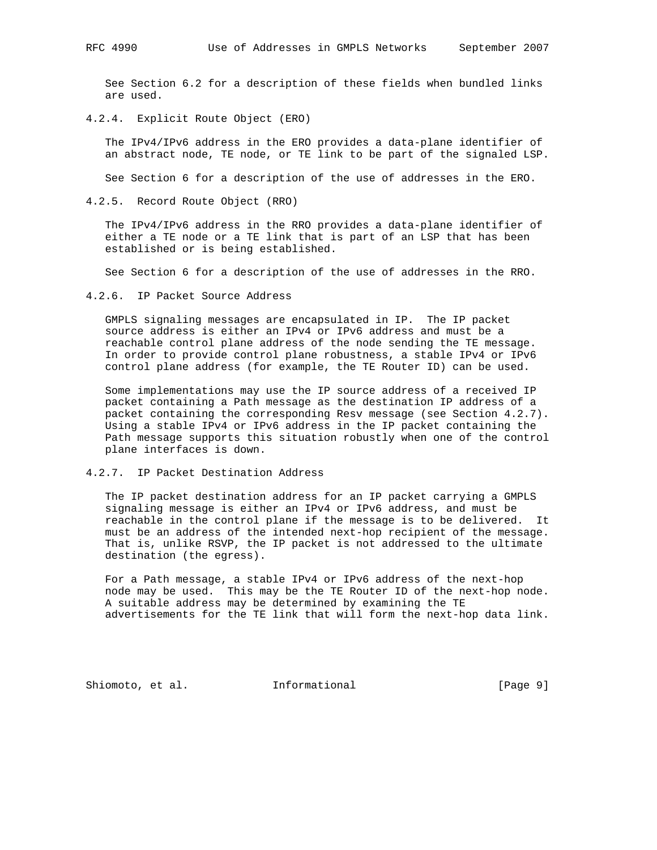See Section 6.2 for a description of these fields when bundled links are used.

4.2.4. Explicit Route Object (ERO)

 The IPv4/IPv6 address in the ERO provides a data-plane identifier of an abstract node, TE node, or TE link to be part of the signaled LSP.

See Section 6 for a description of the use of addresses in the ERO.

4.2.5. Record Route Object (RRO)

 The IPv4/IPv6 address in the RRO provides a data-plane identifier of either a TE node or a TE link that is part of an LSP that has been established or is being established.

See Section 6 for a description of the use of addresses in the RRO.

4.2.6. IP Packet Source Address

 GMPLS signaling messages are encapsulated in IP. The IP packet source address is either an IPv4 or IPv6 address and must be a reachable control plane address of the node sending the TE message. In order to provide control plane robustness, a stable IPv4 or IPv6 control plane address (for example, the TE Router ID) can be used.

 Some implementations may use the IP source address of a received IP packet containing a Path message as the destination IP address of a packet containing the corresponding Resv message (see Section 4.2.7). Using a stable IPv4 or IPv6 address in the IP packet containing the Path message supports this situation robustly when one of the control plane interfaces is down.

4.2.7. IP Packet Destination Address

 The IP packet destination address for an IP packet carrying a GMPLS signaling message is either an IPv4 or IPv6 address, and must be reachable in the control plane if the message is to be delivered. It must be an address of the intended next-hop recipient of the message. That is, unlike RSVP, the IP packet is not addressed to the ultimate destination (the egress).

 For a Path message, a stable IPv4 or IPv6 address of the next-hop node may be used. This may be the TE Router ID of the next-hop node. A suitable address may be determined by examining the TE advertisements for the TE link that will form the next-hop data link.

Shiomoto, et al. **Informational** [Page 9]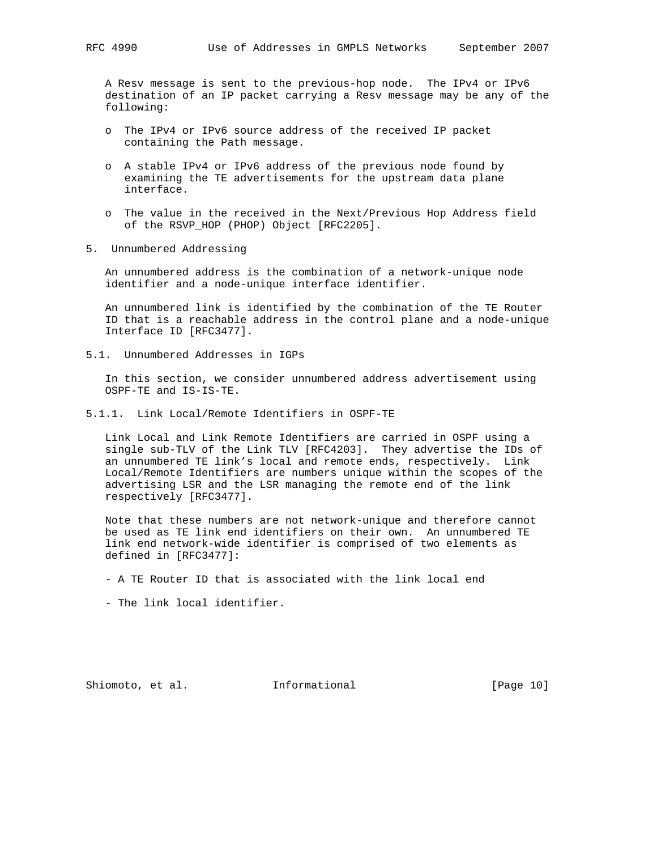A Resv message is sent to the previous-hop node. The IPv4 or IPv6 destination of an IP packet carrying a Resv message may be any of the following:

- o The IPv4 or IPv6 source address of the received IP packet containing the Path message.
- o A stable IPv4 or IPv6 address of the previous node found by examining the TE advertisements for the upstream data plane interface.
- o The value in the received in the Next/Previous Hop Address field of the RSVP\_HOP (PHOP) Object [RFC2205].
- 5. Unnumbered Addressing

 An unnumbered address is the combination of a network-unique node identifier and a node-unique interface identifier.

 An unnumbered link is identified by the combination of the TE Router ID that is a reachable address in the control plane and a node-unique Interface ID [RFC3477].

5.1. Unnumbered Addresses in IGPs

 In this section, we consider unnumbered address advertisement using OSPF-TE and IS-IS-TE.

5.1.1. Link Local/Remote Identifiers in OSPF-TE

 Link Local and Link Remote Identifiers are carried in OSPF using a single sub-TLV of the Link TLV [RFC4203]. They advertise the IDs of an unnumbered TE link's local and remote ends, respectively. Link Local/Remote Identifiers are numbers unique within the scopes of the advertising LSR and the LSR managing the remote end of the link respectively [RFC3477].

 Note that these numbers are not network-unique and therefore cannot be used as TE link end identifiers on their own. An unnumbered TE link end network-wide identifier is comprised of two elements as defined in [RFC3477]:

- A TE Router ID that is associated with the link local end
- The link local identifier.

Shiomoto, et al. **Informational** [Page 10]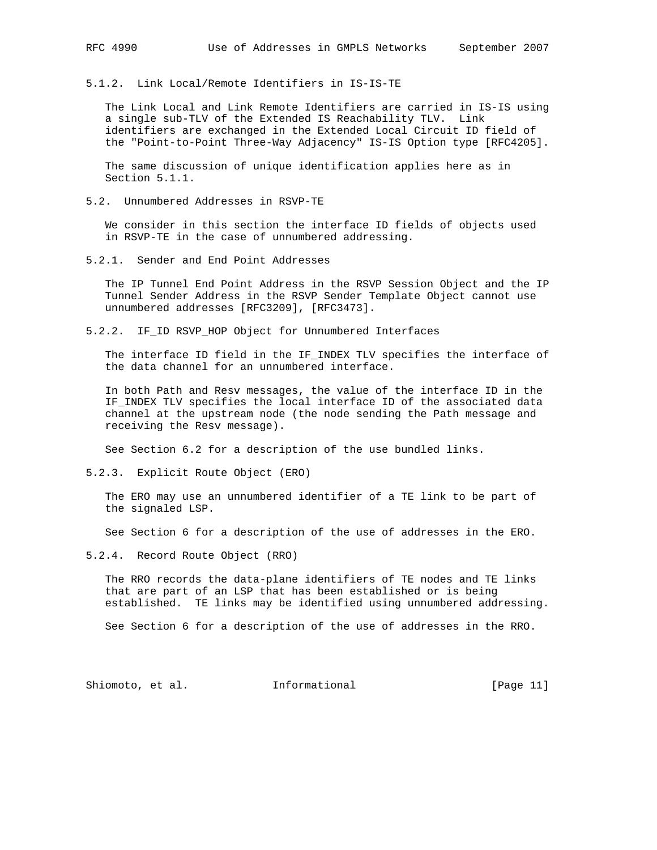5.1.2. Link Local/Remote Identifiers in IS-IS-TE

 The Link Local and Link Remote Identifiers are carried in IS-IS using a single sub-TLV of the Extended IS Reachability TLV. Link identifiers are exchanged in the Extended Local Circuit ID field of the "Point-to-Point Three-Way Adjacency" IS-IS Option type [RFC4205].

 The same discussion of unique identification applies here as in Section 5.1.1.

5.2. Unnumbered Addresses in RSVP-TE

 We consider in this section the interface ID fields of objects used in RSVP-TE in the case of unnumbered addressing.

5.2.1. Sender and End Point Addresses

 The IP Tunnel End Point Address in the RSVP Session Object and the IP Tunnel Sender Address in the RSVP Sender Template Object cannot use unnumbered addresses [RFC3209], [RFC3473].

5.2.2. IF\_ID RSVP\_HOP Object for Unnumbered Interfaces

 The interface ID field in the IF\_INDEX TLV specifies the interface of the data channel for an unnumbered interface.

 In both Path and Resv messages, the value of the interface ID in the IF INDEX TLV specifies the local interface ID of the associated data channel at the upstream node (the node sending the Path message and receiving the Resv message).

See Section 6.2 for a description of the use bundled links.

5.2.3. Explicit Route Object (ERO)

 The ERO may use an unnumbered identifier of a TE link to be part of the signaled LSP.

See Section 6 for a description of the use of addresses in the ERO.

5.2.4. Record Route Object (RRO)

 The RRO records the data-plane identifiers of TE nodes and TE links that are part of an LSP that has been established or is being established. TE links may be identified using unnumbered addressing.

See Section 6 for a description of the use of addresses in the RRO.

Shiomoto, et al. 1nformational [Page 11]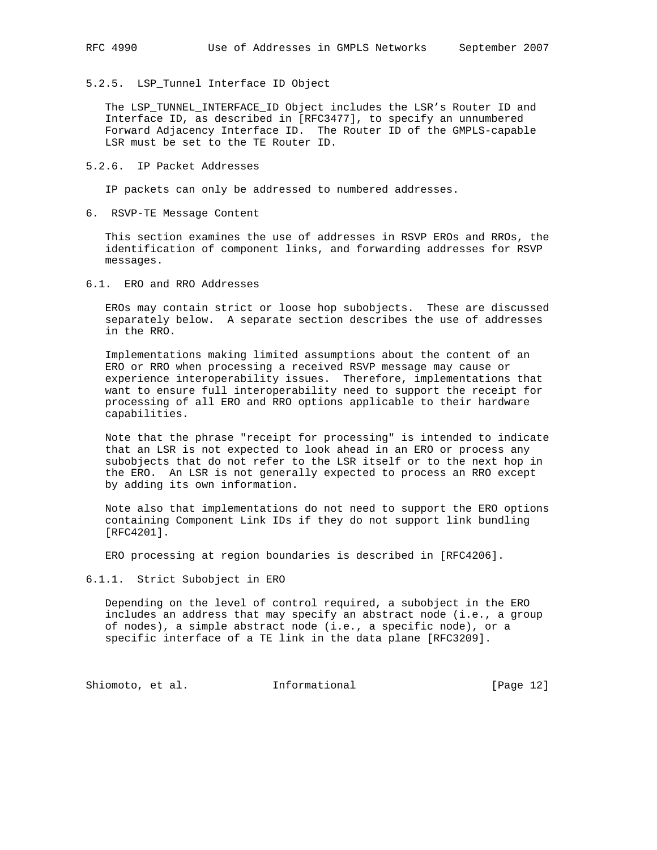# 5.2.5. LSP\_Tunnel Interface ID Object

 The LSP\_TUNNEL\_INTERFACE\_ID Object includes the LSR's Router ID and Interface ID, as described in [RFC3477], to specify an unnumbered Forward Adjacency Interface ID. The Router ID of the GMPLS-capable LSR must be set to the TE Router ID.

### 5.2.6. IP Packet Addresses

IP packets can only be addressed to numbered addresses.

6. RSVP-TE Message Content

 This section examines the use of addresses in RSVP EROs and RROs, the identification of component links, and forwarding addresses for RSVP messages.

6.1. ERO and RRO Addresses

 EROs may contain strict or loose hop subobjects. These are discussed separately below. A separate section describes the use of addresses in the RRO.

 Implementations making limited assumptions about the content of an ERO or RRO when processing a received RSVP message may cause or experience interoperability issues. Therefore, implementations that want to ensure full interoperability need to support the receipt for processing of all ERO and RRO options applicable to their hardware capabilities.

 Note that the phrase "receipt for processing" is intended to indicate that an LSR is not expected to look ahead in an ERO or process any subobjects that do not refer to the LSR itself or to the next hop in the ERO. An LSR is not generally expected to process an RRO except by adding its own information.

 Note also that implementations do not need to support the ERO options containing Component Link IDs if they do not support link bundling [RFC4201].

ERO processing at region boundaries is described in [RFC4206].

6.1.1. Strict Subobject in ERO

 Depending on the level of control required, a subobject in the ERO includes an address that may specify an abstract node (i.e., a group of nodes), a simple abstract node (i.e., a specific node), or a specific interface of a TE link in the data plane [RFC3209].

Shiomoto, et al. 1nformational [Page 12]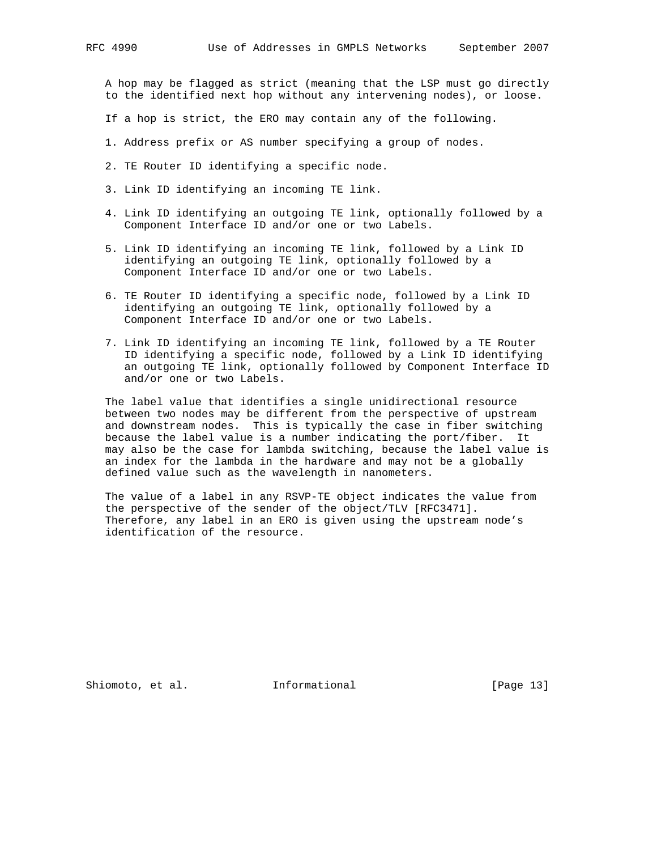A hop may be flagged as strict (meaning that the LSP must go directly to the identified next hop without any intervening nodes), or loose.

- If a hop is strict, the ERO may contain any of the following.
- 1. Address prefix or AS number specifying a group of nodes.
- 2. TE Router ID identifying a specific node.
- 3. Link ID identifying an incoming TE link.
- 4. Link ID identifying an outgoing TE link, optionally followed by a Component Interface ID and/or one or two Labels.
- 5. Link ID identifying an incoming TE link, followed by a Link ID identifying an outgoing TE link, optionally followed by a Component Interface ID and/or one or two Labels.
- 6. TE Router ID identifying a specific node, followed by a Link ID identifying an outgoing TE link, optionally followed by a Component Interface ID and/or one or two Labels.
- 7. Link ID identifying an incoming TE link, followed by a TE Router ID identifying a specific node, followed by a Link ID identifying an outgoing TE link, optionally followed by Component Interface ID and/or one or two Labels.

 The label value that identifies a single unidirectional resource between two nodes may be different from the perspective of upstream and downstream nodes. This is typically the case in fiber switching because the label value is a number indicating the port/fiber. It may also be the case for lambda switching, because the label value is an index for the lambda in the hardware and may not be a globally defined value such as the wavelength in nanometers.

 The value of a label in any RSVP-TE object indicates the value from the perspective of the sender of the object/TLV [RFC3471]. Therefore, any label in an ERO is given using the upstream node's identification of the resource.

Shiomoto, et al. 1nformational [Page 13]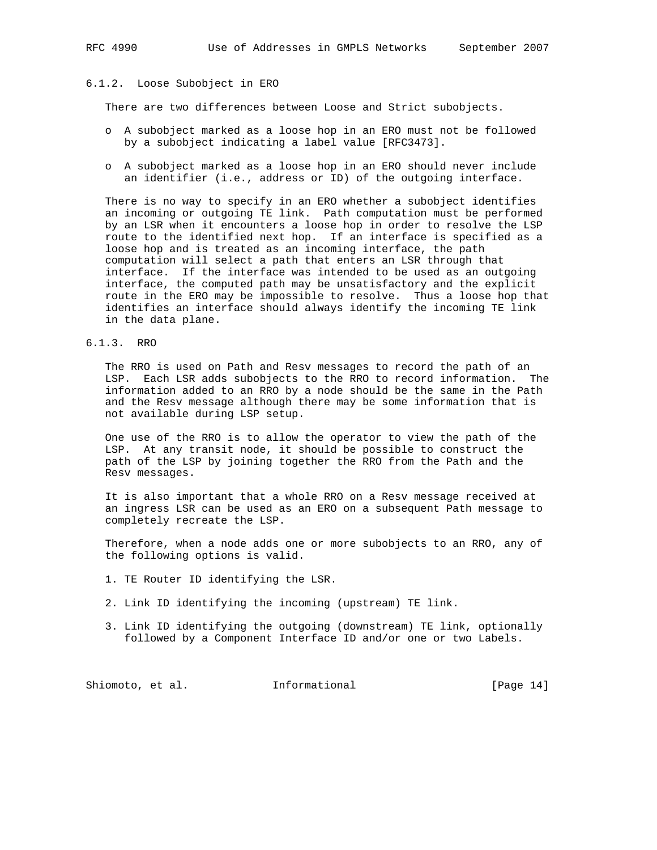### 6.1.2. Loose Subobject in ERO

There are two differences between Loose and Strict subobjects.

- o A subobject marked as a loose hop in an ERO must not be followed by a subobject indicating a label value [RFC3473].
- o A subobject marked as a loose hop in an ERO should never include an identifier (i.e., address or ID) of the outgoing interface.

 There is no way to specify in an ERO whether a subobject identifies an incoming or outgoing TE link. Path computation must be performed by an LSR when it encounters a loose hop in order to resolve the LSP route to the identified next hop. If an interface is specified as a loose hop and is treated as an incoming interface, the path computation will select a path that enters an LSR through that interface. If the interface was intended to be used as an outgoing interface, the computed path may be unsatisfactory and the explicit route in the ERO may be impossible to resolve. Thus a loose hop that identifies an interface should always identify the incoming TE link in the data plane.

6.1.3. RRO

 The RRO is used on Path and Resv messages to record the path of an LSP. Each LSR adds subobjects to the RRO to record information. The information added to an RRO by a node should be the same in the Path and the Resv message although there may be some information that is not available during LSP setup.

 One use of the RRO is to allow the operator to view the path of the LSP. At any transit node, it should be possible to construct the path of the LSP by joining together the RRO from the Path and the Resv messages.

 It is also important that a whole RRO on a Resv message received at an ingress LSR can be used as an ERO on a subsequent Path message to completely recreate the LSP.

 Therefore, when a node adds one or more subobjects to an RRO, any of the following options is valid.

- 1. TE Router ID identifying the LSR.
- 2. Link ID identifying the incoming (upstream) TE link.
- 3. Link ID identifying the outgoing (downstream) TE link, optionally followed by a Component Interface ID and/or one or two Labels.

Shiomoto, et al. 1nformational [Page 14]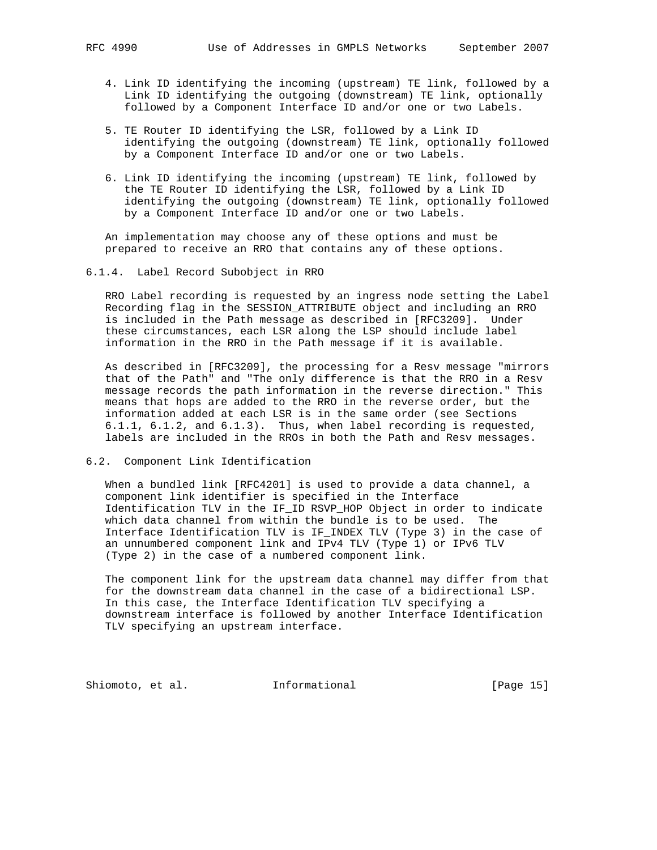- 4. Link ID identifying the incoming (upstream) TE link, followed by a Link ID identifying the outgoing (downstream) TE link, optionally followed by a Component Interface ID and/or one or two Labels.
- 5. TE Router ID identifying the LSR, followed by a Link ID identifying the outgoing (downstream) TE link, optionally followed by a Component Interface ID and/or one or two Labels.
- 6. Link ID identifying the incoming (upstream) TE link, followed by the TE Router ID identifying the LSR, followed by a Link ID identifying the outgoing (downstream) TE link, optionally followed by a Component Interface ID and/or one or two Labels.

 An implementation may choose any of these options and must be prepared to receive an RRO that contains any of these options.

6.1.4. Label Record Subobject in RRO

 RRO Label recording is requested by an ingress node setting the Label Recording flag in the SESSION\_ATTRIBUTE object and including an RRO is included in the Path message as described in [RFC3209]. Under these circumstances, each LSR along the LSP should include label information in the RRO in the Path message if it is available.

 As described in [RFC3209], the processing for a Resv message "mirrors that of the Path" and "The only difference is that the RRO in a Resv message records the path information in the reverse direction." This means that hops are added to the RRO in the reverse order, but the information added at each LSR is in the same order (see Sections 6.1.1, 6.1.2, and 6.1.3). Thus, when label recording is requested, labels are included in the RROs in both the Path and Resv messages.

6.2. Component Link Identification

 When a bundled link [RFC4201] is used to provide a data channel, a component link identifier is specified in the Interface Identification TLV in the IF\_ID RSVP\_HOP Object in order to indicate which data channel from within the bundle is to be used. The Interface Identification TLV is IF\_INDEX TLV (Type 3) in the case of an unnumbered component link and IPv4 TLV (Type 1) or IPv6 TLV (Type 2) in the case of a numbered component link.

 The component link for the upstream data channel may differ from that for the downstream data channel in the case of a bidirectional LSP. In this case, the Interface Identification TLV specifying a downstream interface is followed by another Interface Identification TLV specifying an upstream interface.

Shiomoto, et al. 1nformational [Page 15]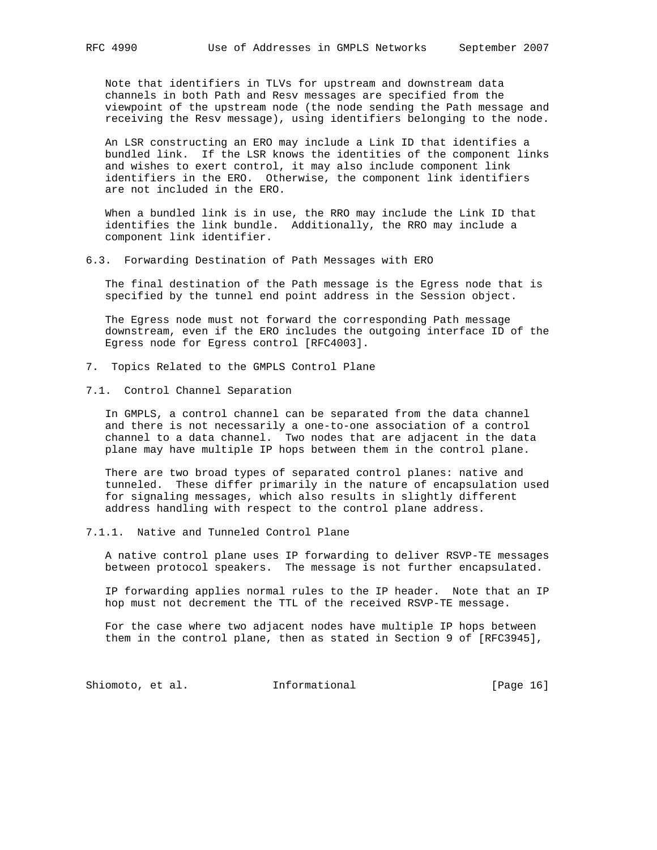Note that identifiers in TLVs for upstream and downstream data channels in both Path and Resv messages are specified from the viewpoint of the upstream node (the node sending the Path message and receiving the Resv message), using identifiers belonging to the node.

 An LSR constructing an ERO may include a Link ID that identifies a bundled link. If the LSR knows the identities of the component links and wishes to exert control, it may also include component link identifiers in the ERO. Otherwise, the component link identifiers are not included in the ERO.

 When a bundled link is in use, the RRO may include the Link ID that identifies the link bundle. Additionally, the RRO may include a component link identifier.

#### 6.3. Forwarding Destination of Path Messages with ERO

 The final destination of the Path message is the Egress node that is specified by the tunnel end point address in the Session object.

 The Egress node must not forward the corresponding Path message downstream, even if the ERO includes the outgoing interface ID of the Egress node for Egress control [RFC4003].

- 7. Topics Related to the GMPLS Control Plane
- 7.1. Control Channel Separation

 In GMPLS, a control channel can be separated from the data channel and there is not necessarily a one-to-one association of a control channel to a data channel. Two nodes that are adjacent in the data plane may have multiple IP hops between them in the control plane.

 There are two broad types of separated control planes: native and tunneled. These differ primarily in the nature of encapsulation used for signaling messages, which also results in slightly different address handling with respect to the control plane address.

7.1.1. Native and Tunneled Control Plane

 A native control plane uses IP forwarding to deliver RSVP-TE messages between protocol speakers. The message is not further encapsulated.

 IP forwarding applies normal rules to the IP header. Note that an IP hop must not decrement the TTL of the received RSVP-TE message.

 For the case where two adjacent nodes have multiple IP hops between them in the control plane, then as stated in Section 9 of [RFC3945],

Shiomoto, et al. 1nformational [Page 16]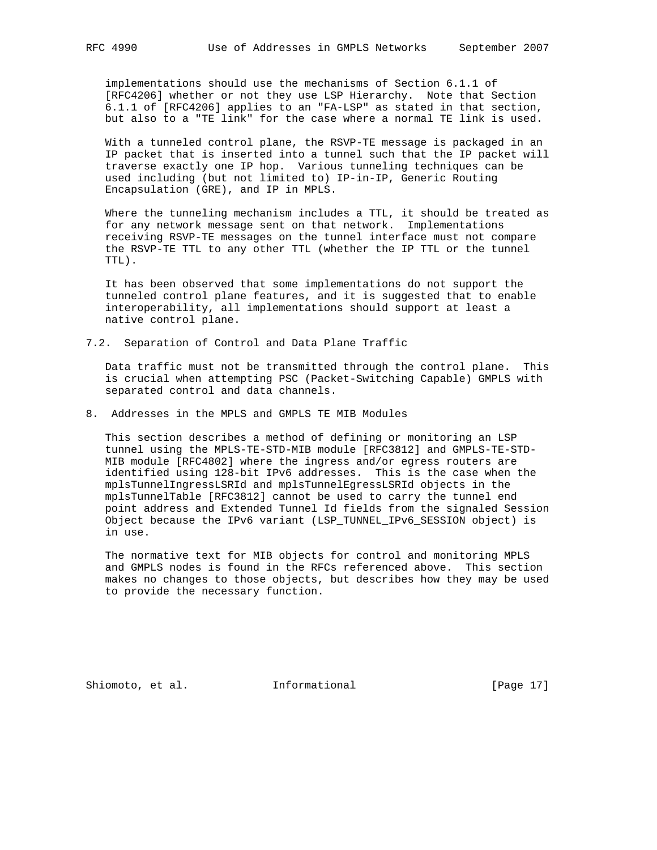implementations should use the mechanisms of Section 6.1.1 of [RFC4206] whether or not they use LSP Hierarchy. Note that Section 6.1.1 of [RFC4206] applies to an "FA-LSP" as stated in that section, but also to a "TE link" for the case where a normal TE link is used.

 With a tunneled control plane, the RSVP-TE message is packaged in an IP packet that is inserted into a tunnel such that the IP packet will traverse exactly one IP hop. Various tunneling techniques can be used including (but not limited to) IP-in-IP, Generic Routing Encapsulation (GRE), and IP in MPLS.

 Where the tunneling mechanism includes a TTL, it should be treated as for any network message sent on that network. Implementations receiving RSVP-TE messages on the tunnel interface must not compare the RSVP-TE TTL to any other TTL (whether the IP TTL or the tunnel TTL).

 It has been observed that some implementations do not support the tunneled control plane features, and it is suggested that to enable interoperability, all implementations should support at least a native control plane.

7.2. Separation of Control and Data Plane Traffic

 Data traffic must not be transmitted through the control plane. This is crucial when attempting PSC (Packet-Switching Capable) GMPLS with separated control and data channels.

8. Addresses in the MPLS and GMPLS TE MIB Modules

 This section describes a method of defining or monitoring an LSP tunnel using the MPLS-TE-STD-MIB module [RFC3812] and GMPLS-TE-STD- MIB module [RFC4802] where the ingress and/or egress routers are identified using 128-bit IPv6 addresses. This is the case when the mplsTunnelIngressLSRId and mplsTunnelEgressLSRId objects in the mplsTunnelTable [RFC3812] cannot be used to carry the tunnel end point address and Extended Tunnel Id fields from the signaled Session Object because the IPv6 variant (LSP\_TUNNEL\_IPv6\_SESSION object) is in use.

 The normative text for MIB objects for control and monitoring MPLS and GMPLS nodes is found in the RFCs referenced above. This section makes no changes to those objects, but describes how they may be used to provide the necessary function.

Shiomoto, et al. 1nformational 1999 [Page 17]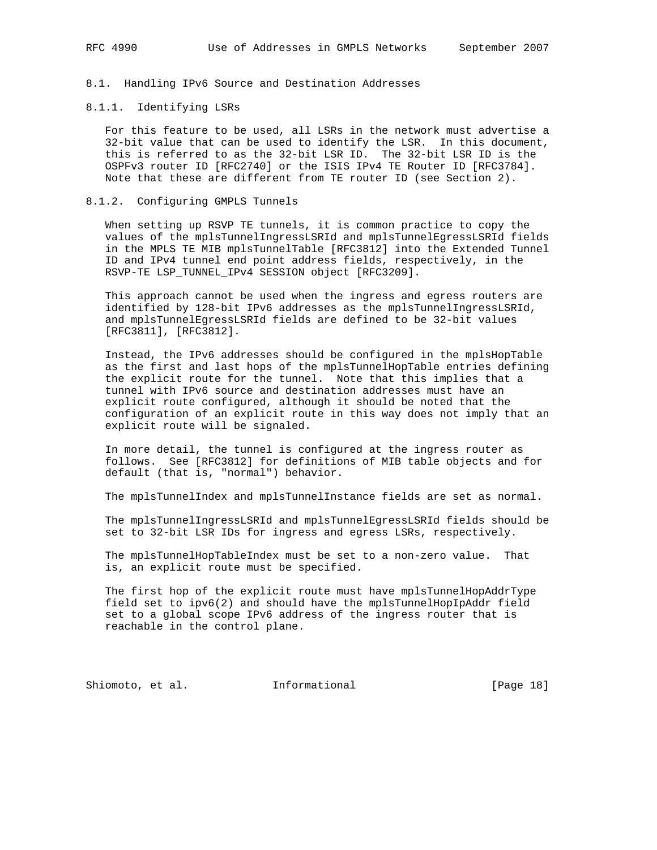8.1. Handling IPv6 Source and Destination Addresses

### 8.1.1. Identifying LSRs

 For this feature to be used, all LSRs in the network must advertise a 32-bit value that can be used to identify the LSR. In this document, this is referred to as the 32-bit LSR ID. The 32-bit LSR ID is the OSPFv3 router ID [RFC2740] or the ISIS IPv4 TE Router ID [RFC3784]. Note that these are different from TE router ID (see Section 2).

#### 8.1.2. Configuring GMPLS Tunnels

 When setting up RSVP TE tunnels, it is common practice to copy the values of the mplsTunnelIngressLSRId and mplsTunnelEgressLSRId fields in the MPLS TE MIB mplsTunnelTable [RFC3812] into the Extended Tunnel ID and IPv4 tunnel end point address fields, respectively, in the RSVP-TE LSP\_TUNNEL\_IPv4 SESSION object [RFC3209].

 This approach cannot be used when the ingress and egress routers are identified by 128-bit IPv6 addresses as the mplsTunnelIngressLSRId, and mplsTunnelEgressLSRId fields are defined to be 32-bit values [RFC3811], [RFC3812].

 Instead, the IPv6 addresses should be configured in the mplsHopTable as the first and last hops of the mplsTunnelHopTable entries defining the explicit route for the tunnel. Note that this implies that a tunnel with IPv6 source and destination addresses must have an explicit route configured, although it should be noted that the configuration of an explicit route in this way does not imply that an explicit route will be signaled.

 In more detail, the tunnel is configured at the ingress router as follows. See [RFC3812] for definitions of MIB table objects and for default (that is, "normal") behavior.

The mplsTunnelIndex and mplsTunnelInstance fields are set as normal.

 The mplsTunnelIngressLSRId and mplsTunnelEgressLSRId fields should be set to 32-bit LSR IDs for ingress and egress LSRs, respectively.

 The mplsTunnelHopTableIndex must be set to a non-zero value. That is, an explicit route must be specified.

 The first hop of the explicit route must have mplsTunnelHopAddrType field set to ipv6(2) and should have the mplsTunnelHopIpAddr field set to a global scope IPv6 address of the ingress router that is reachable in the control plane.

Shiomoto, et al. 1nformational [Page 18]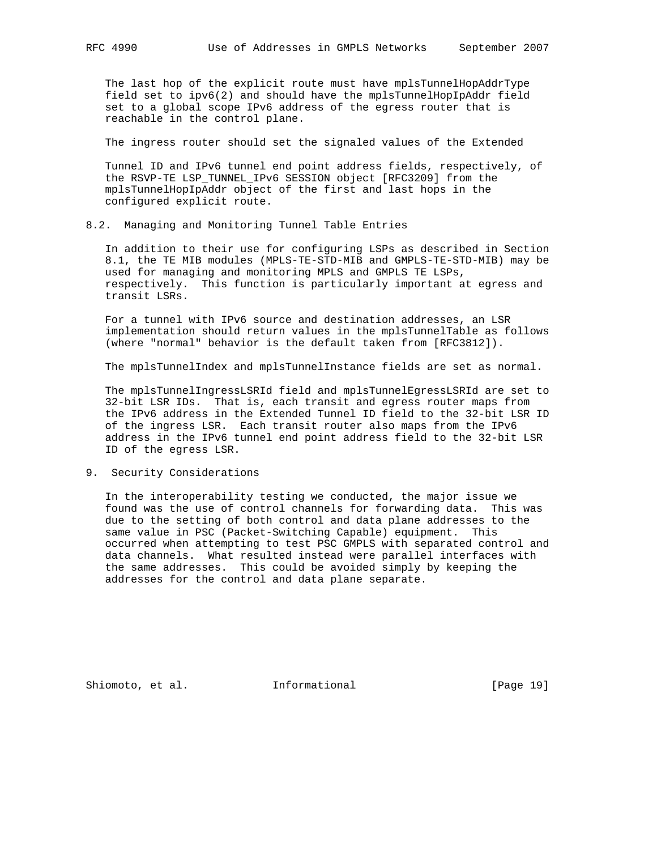The last hop of the explicit route must have mplsTunnelHopAddrType field set to ipv6(2) and should have the mplsTunnelHopIpAddr field set to a global scope IPv6 address of the egress router that is reachable in the control plane.

The ingress router should set the signaled values of the Extended

 Tunnel ID and IPv6 tunnel end point address fields, respectively, of the RSVP-TE LSP\_TUNNEL\_IPv6 SESSION object [RFC3209] from the mplsTunnelHopIpAddr object of the first and last hops in the configured explicit route.

### 8.2. Managing and Monitoring Tunnel Table Entries

 In addition to their use for configuring LSPs as described in Section 8.1, the TE MIB modules (MPLS-TE-STD-MIB and GMPLS-TE-STD-MIB) may be used for managing and monitoring MPLS and GMPLS TE LSPs, respectively. This function is particularly important at egress and transit LSRs.

 For a tunnel with IPv6 source and destination addresses, an LSR implementation should return values in the mplsTunnelTable as follows (where "normal" behavior is the default taken from [RFC3812]).

The mplsTunnelIndex and mplsTunnelInstance fields are set as normal.

 The mplsTunnelIngressLSRId field and mplsTunnelEgressLSRId are set to 32-bit LSR IDs. That is, each transit and egress router maps from the IPv6 address in the Extended Tunnel ID field to the 32-bit LSR ID of the ingress LSR. Each transit router also maps from the IPv6 address in the IPv6 tunnel end point address field to the 32-bit LSR ID of the egress LSR.

9. Security Considerations

 In the interoperability testing we conducted, the major issue we found was the use of control channels for forwarding data. This was due to the setting of both control and data plane addresses to the same value in PSC (Packet-Switching Capable) equipment. This occurred when attempting to test PSC GMPLS with separated control and data channels. What resulted instead were parallel interfaces with the same addresses. This could be avoided simply by keeping the addresses for the control and data plane separate.

Shiomoto, et al. 1nformational [Page 19]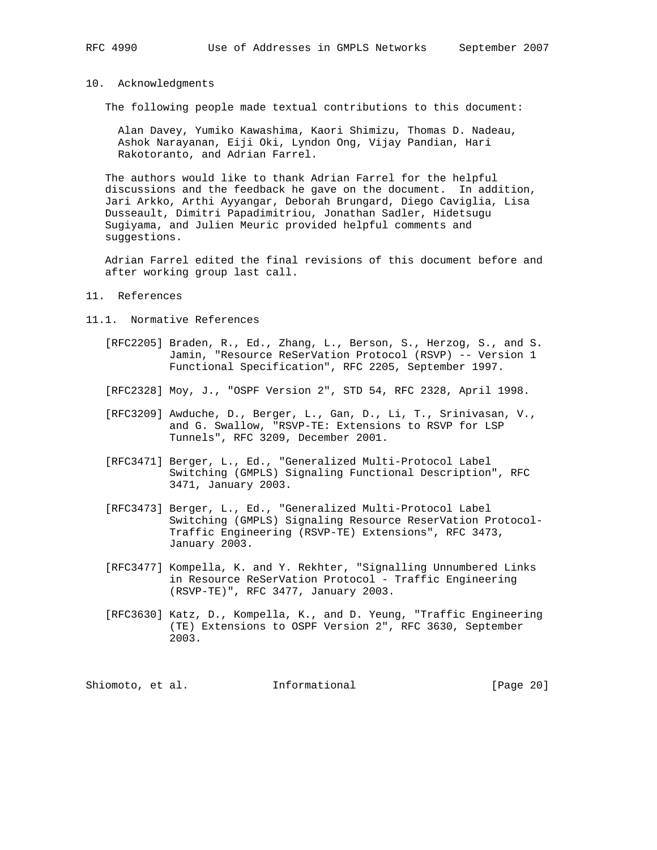### 10. Acknowledgments

The following people made textual contributions to this document:

 Alan Davey, Yumiko Kawashima, Kaori Shimizu, Thomas D. Nadeau, Ashok Narayanan, Eiji Oki, Lyndon Ong, Vijay Pandian, Hari Rakotoranto, and Adrian Farrel.

 The authors would like to thank Adrian Farrel for the helpful discussions and the feedback he gave on the document. In addition, Jari Arkko, Arthi Ayyangar, Deborah Brungard, Diego Caviglia, Lisa Dusseault, Dimitri Papadimitriou, Jonathan Sadler, Hidetsugu Sugiyama, and Julien Meuric provided helpful comments and suggestions.

 Adrian Farrel edited the final revisions of this document before and after working group last call.

#### 11. References

- 11.1. Normative References
	- [RFC2205] Braden, R., Ed., Zhang, L., Berson, S., Herzog, S., and S. Jamin, "Resource ReSerVation Protocol (RSVP) -- Version 1 Functional Specification", RFC 2205, September 1997.
	- [RFC2328] Moy, J., "OSPF Version 2", STD 54, RFC 2328, April 1998.
	- [RFC3209] Awduche, D., Berger, L., Gan, D., Li, T., Srinivasan, V., and G. Swallow, "RSVP-TE: Extensions to RSVP for LSP Tunnels", RFC 3209, December 2001.
	- [RFC3471] Berger, L., Ed., "Generalized Multi-Protocol Label Switching (GMPLS) Signaling Functional Description", RFC 3471, January 2003.
	- [RFC3473] Berger, L., Ed., "Generalized Multi-Protocol Label Switching (GMPLS) Signaling Resource ReserVation Protocol- Traffic Engineering (RSVP-TE) Extensions", RFC 3473, January 2003.
	- [RFC3477] Kompella, K. and Y. Rekhter, "Signalling Unnumbered Links in Resource ReSerVation Protocol - Traffic Engineering (RSVP-TE)", RFC 3477, January 2003.
	- [RFC3630] Katz, D., Kompella, K., and D. Yeung, "Traffic Engineering (TE) Extensions to OSPF Version 2", RFC 3630, September 2003.

Shiomoto, et al. **Informational** [Page 20]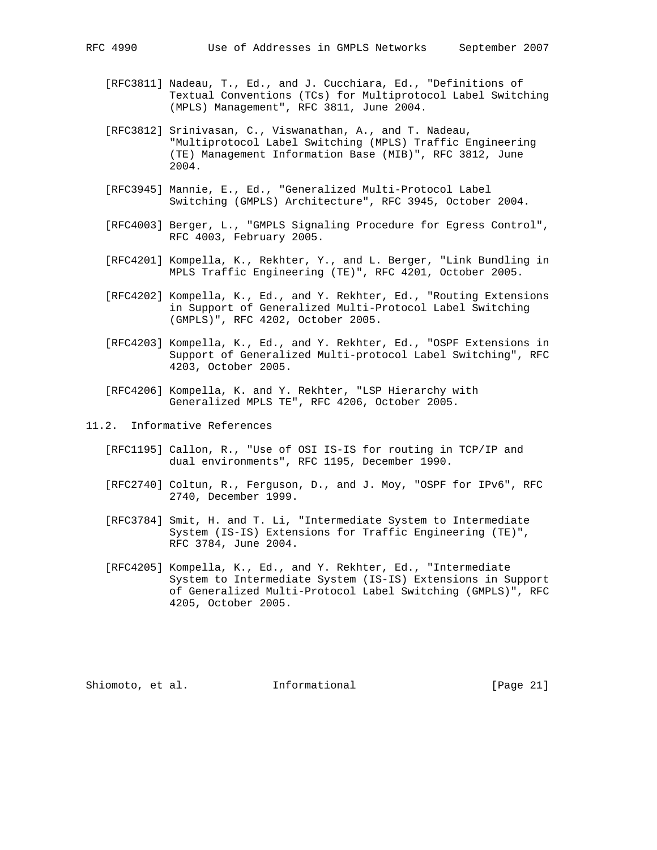- [RFC3811] Nadeau, T., Ed., and J. Cucchiara, Ed., "Definitions of Textual Conventions (TCs) for Multiprotocol Label Switching (MPLS) Management", RFC 3811, June 2004.
- [RFC3812] Srinivasan, C., Viswanathan, A., and T. Nadeau, "Multiprotocol Label Switching (MPLS) Traffic Engineering (TE) Management Information Base (MIB)", RFC 3812, June 2004.
- [RFC3945] Mannie, E., Ed., "Generalized Multi-Protocol Label Switching (GMPLS) Architecture", RFC 3945, October 2004.
- [RFC4003] Berger, L., "GMPLS Signaling Procedure for Egress Control", RFC 4003, February 2005.
- [RFC4201] Kompella, K., Rekhter, Y., and L. Berger, "Link Bundling in MPLS Traffic Engineering (TE)", RFC 4201, October 2005.
- [RFC4202] Kompella, K., Ed., and Y. Rekhter, Ed., "Routing Extensions in Support of Generalized Multi-Protocol Label Switching (GMPLS)", RFC 4202, October 2005.
- [RFC4203] Kompella, K., Ed., and Y. Rekhter, Ed., "OSPF Extensions in Support of Generalized Multi-protocol Label Switching", RFC 4203, October 2005.
- [RFC4206] Kompella, K. and Y. Rekhter, "LSP Hierarchy with Generalized MPLS TE", RFC 4206, October 2005.
- 11.2. Informative References
	- [RFC1195] Callon, R., "Use of OSI IS-IS for routing in TCP/IP and dual environments", RFC 1195, December 1990.
	- [RFC2740] Coltun, R., Ferguson, D., and J. Moy, "OSPF for IPv6", RFC 2740, December 1999.
	- [RFC3784] Smit, H. and T. Li, "Intermediate System to Intermediate System (IS-IS) Extensions for Traffic Engineering (TE)", RFC 3784, June 2004.
	- [RFC4205] Kompella, K., Ed., and Y. Rekhter, Ed., "Intermediate System to Intermediate System (IS-IS) Extensions in Support of Generalized Multi-Protocol Label Switching (GMPLS)", RFC 4205, October 2005.

Shiomoto, et al. **Informational** [Page 21]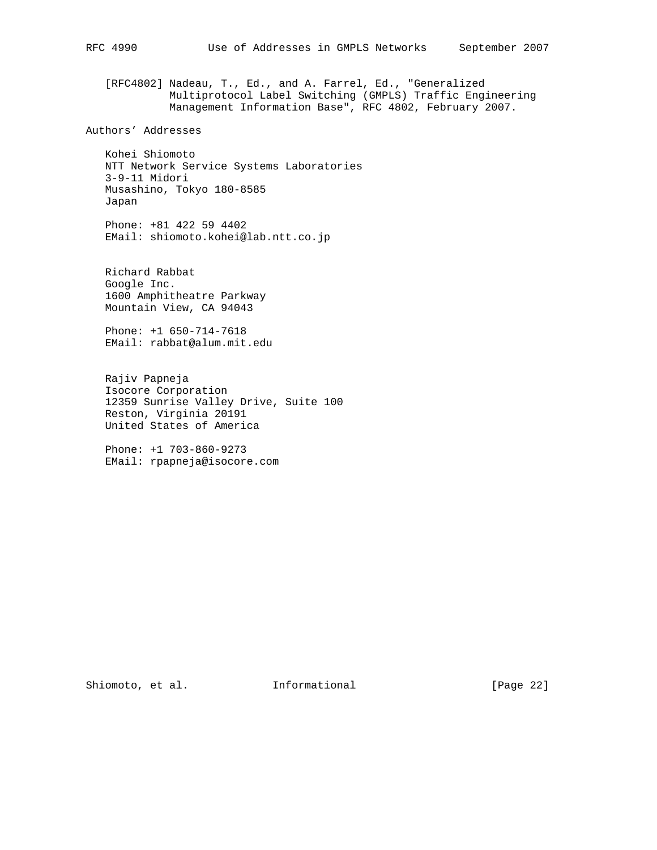[RFC4802] Nadeau, T., Ed., and A. Farrel, Ed., "Generalized Multiprotocol Label Switching (GMPLS) Traffic Engineering Management Information Base", RFC 4802, February 2007.

Authors' Addresses

 Kohei Shiomoto NTT Network Service Systems Laboratories 3-9-11 Midori Musashino, Tokyo 180-8585 Japan

 Phone: +81 422 59 4402 EMail: shiomoto.kohei@lab.ntt.co.jp

 Richard Rabbat Google Inc. 1600 Amphitheatre Parkway Mountain View, CA 94043

 Phone: +1 650-714-7618 EMail: rabbat@alum.mit.edu

 Rajiv Papneja Isocore Corporation 12359 Sunrise Valley Drive, Suite 100 Reston, Virginia 20191 United States of America

 Phone: +1 703-860-9273 EMail: rpapneja@isocore.com